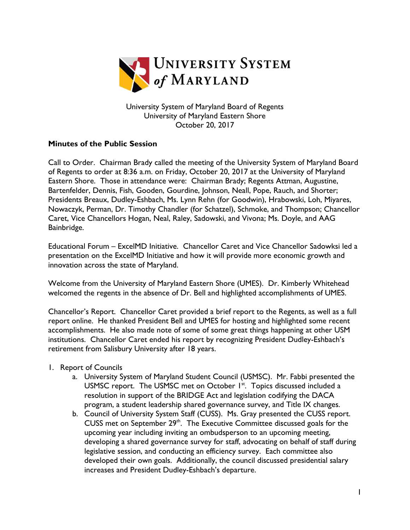

University System of Maryland Board of Regents University of Maryland Eastern Shore October 20, 2017

## **Minutes of the Public Session**

Call to Order. Chairman Brady called the meeting of the University System of Maryland Board of Regents to order at 8:36 a.m. on Friday, October 20, 2017 at the University of Maryland Eastern Shore. Those in attendance were: Chairman Brady; Regents Attman, Augustine, Bartenfelder, Dennis, Fish, Gooden, Gourdine, Johnson, Neall, Pope, Rauch, and Shorter; Presidents Breaux, Dudley-Eshbach, Ms. Lynn Rehn (for Goodwin), Hrabowski, Loh, Miyares, Nowaczyk, Perman, Dr. Timothy Chandler (for Schatzel), Schmoke, and Thompson; Chancellor Caret, Vice Chancellors Hogan, Neal, Raley, Sadowski, and Vivona; Ms. Doyle, and AAG Bainbridge.

Educational Forum – ExcelMD Initiative. Chancellor Caret and Vice Chancellor Sadowksi led a presentation on the ExcelMD Initiative and how it will provide more economic growth and innovation across the state of Maryland.

Welcome from the University of Maryland Eastern Shore (UMES). Dr. Kimberly Whitehead welcomed the regents in the absence of Dr. Bell and highlighted accomplishments of UMES.

Chancellor's Report. Chancellor Caret provided a brief report to the Regents, as well as a full report online. He thanked President Bell and UMES for hosting and highlighted some recent accomplishments. He also made note of some of some great things happening at other USM institutions. Chancellor Caret ended his report by recognizing President Dudley-Eshbach's retirement from Salisbury University after 18 years.

- 1. Report of Councils
	- a. University System of Maryland Student Council (USMSC). Mr. Fabbi presented the USMSC report. The USMSC met on October I<sup>st</sup>. Topics discussed included a resolution in support of the BRIDGE Act and legislation codifying the DACA program, a student leadership shared governance survey, and Title IX changes.
	- b. Council of University System Staff (CUSS). Ms. Gray presented the CUSS report. CUSS met on September  $29<sup>th</sup>$ . The Executive Committee discussed goals for the upcoming year including inviting an ombudsperson to an upcoming meeting, developing a shared governance survey for staff, advocating on behalf of staff during legislative session, and conducting an efficiency survey. Each committee also developed their own goals. Additionally, the council discussed presidential salary increases and President Dudley-Eshbach's departure.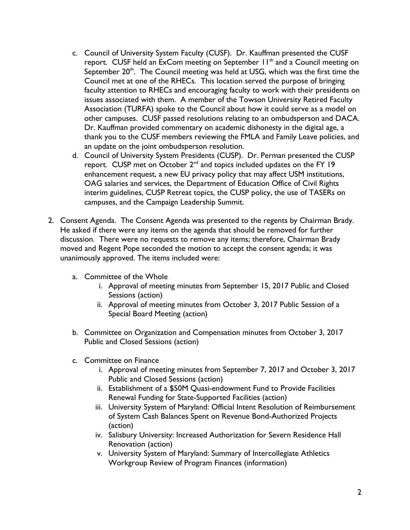- c. Council of University System Faculty (CUSF). Dr. Kauffman presented the CUSF report. CUSF held an ExCom meeting on September 11<sup>th</sup> and a Council meeting on September  $20<sup>th</sup>$ . The Council meeting was held at USG, which was the first time the Council met at one of the RHECs. This location served the purpose of bringing faculty attention to RHECs and encouraging faculty to work with their presidents on issues associated with them. A member of the Towson University Retired Faculty Association (TURFA) spoke to the Council about how it could serve as a model on other campuses. CUSF passed resolutions relating to an ombudsperson and DACA. Dr. Kauffman provided commentary on academic dishonesty in the digital age, a thank you to the CUSF members reviewing the FMLA and Family Leave policies, and an update on the joint ombudsperson resolution.
- d. Council of University System Presidents (CUSP). Dr. Perman presented the CUSP report. CUSP met on October 2nd and topics included updates on the FY 19 enhancement request, a new EU privacy policy that may affect USM institutions, OAG salaries and services, the Department of Education Office of Civil Rights interim guidelines, CUSP Retreat topics, the CUSP policy, the use of TASERs on campuses, and the Campaign Leadership Summit.
- 2. Consent Agenda. The Consent Agenda was presented to the regents by Chairman Brady. He asked if there were any items on the agenda that should be removed for further discussion. There were no requests to remove any items; therefore, Chairman Brady moved and Regent Pope seconded the motion to accept the consent agenda; it was unanimously approved. The items included were:
	- a. Committee of the Whole
		- i. Approval of meeting minutes from September 15, 2017 Public and Closed Sessions (action)
		- ii. Approval of meeting minutes from October 3, 2017 Public Session of a Special Board Meeting (action)
	- b. Committee on Organization and Compensation minutes from October 3, 2017 Public and Closed Sessions (action)
	- c. Committee on Finance
		- i. Approval of meeting minutes from September 7, 2017 and October 3, 2017 Public and Closed Sessions (action)
		- ii. Establishment of a \$50M Quasi-endowment Fund to Provide Facilities Renewal Funding for State-Supported Facilities (action)
		- iii. University System of Maryland: Official Intent Resolution of Reimbursement of System Cash Balances Spent on Revenue Bond-Authorized Projects (action)
		- iv. Salisbury University: Increased Authorization for Severn Residence Hall Renovation (action)
		- v. University System of Maryland: Summary of Intercollegiate Athletics Workgroup Review of Program Finances (information)